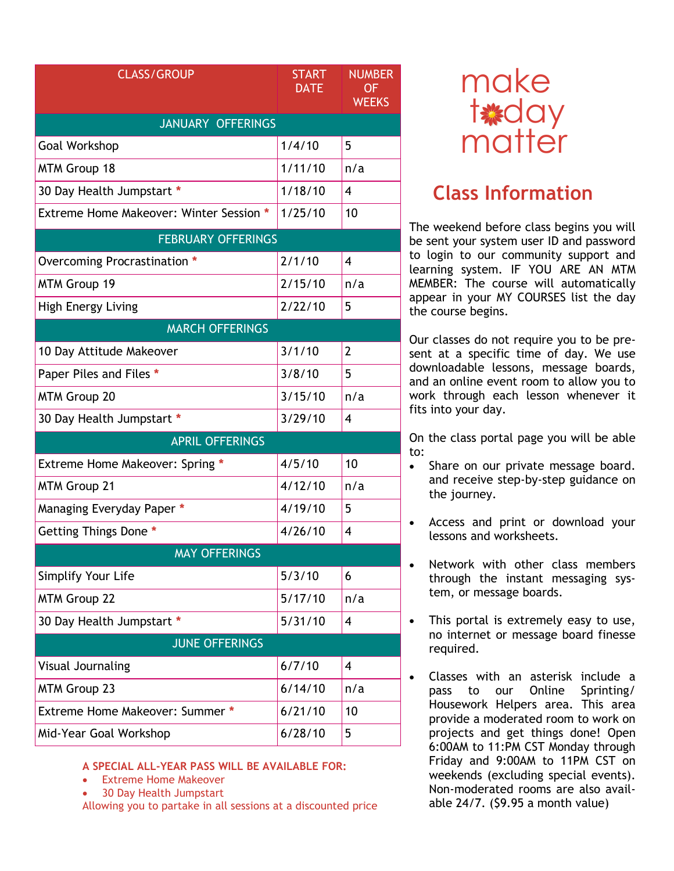| <b>CLASS/GROUP</b>                      | <b>START</b><br><b>DATE</b> | <b>NUMBER</b><br>OF<br><b>WEEKS</b> |  |
|-----------------------------------------|-----------------------------|-------------------------------------|--|
| <b>JANUARY OFFERINGS</b>                |                             |                                     |  |
| <b>Goal Workshop</b>                    | 1/4/10                      | 5                                   |  |
| <b>MTM Group 18</b>                     | 1/11/10                     | n/a                                 |  |
| 30 Day Health Jumpstart *               | 1/18/10                     | $\overline{\mathbf{4}}$             |  |
| Extreme Home Makeover: Winter Session * | 1/25/10                     | 10                                  |  |
| <b>FEBRUARY OFFERINGS</b>               |                             |                                     |  |
| Overcoming Procrastination *            | 2/1/10                      | 4                                   |  |
| MTM Group 19                            | 2/15/10                     | n/a                                 |  |
| <b>High Energy Living</b>               | 2/22/10                     | 5                                   |  |
| <b>MARCH OFFERINGS</b>                  |                             |                                     |  |
| 10 Day Attitude Makeover                | 3/1/10                      | $\overline{2}$                      |  |
| Paper Piles and Files *                 | 3/8/10                      | 5                                   |  |
| <b>MTM Group 20</b>                     | 3/15/10                     | n/a                                 |  |
| 30 Day Health Jumpstart *               | 3/29/10                     | $\overline{\mathbf{4}}$             |  |
| <b>APRIL OFFERINGS</b>                  |                             |                                     |  |
| Extreme Home Makeover: Spring *         | 4/5/10                      | 10                                  |  |
| <b>MTM Group 21</b>                     | 4/12/10                     | n/a                                 |  |
| Managing Everyday Paper *               | 4/19/10                     | 5                                   |  |
| Getting Things Done *                   | 4/26/10                     | 4                                   |  |
| <b>MAY OFFERINGS</b>                    |                             |                                     |  |
| Simplify Your Life                      | 5/3/10                      | 6                                   |  |
| <b>MTM Group 22</b>                     | 5/17/10                     | n/a                                 |  |
| 30 Day Health Jumpstart *               | 5/31/10                     | 4                                   |  |
| <b>JUNE OFFERINGS</b>                   |                             |                                     |  |
| Visual Journaling                       | 6/7/10                      | $\overline{\mathbf{4}}$             |  |
| <b>MTM Group 23</b>                     | 6/14/10                     | n/a                                 |  |
| Extreme Home Makeover: Summer *         | 6/21/10                     | 10                                  |  |
| Mid-Year Goal Workshop                  | 6/28/10                     | 5                                   |  |

## **A SPECIAL ALL-YEAR PASS WILL BE AVAILABLE FOR:**

- **Extreme Home Makeover**
- 30 Day Health Jumpstart

Allowing you to partake in all sessions at a discounted price



## **Class Information**

The weekend before class begins you will be sent your system user ID and password to login to our community support and learning system. IF YOU ARE AN MTM MEMBER: The course will automatically appear in your MY COURSES list the day the course begins.

Our classes do not require you to be present at a specific time of day. We use downloadable lessons, message boards, and an online event room to allow you to work through each lesson whenever it fits into your day.

On the class portal page you will be able to:

- Share on our private message board. and receive step-by-step guidance on the journey.
- Access and print or download your lessons and worksheets.
- Network with other class members through the instant messaging system, or message boards.
- This portal is extremely easy to use, no internet or message board finesse required.
- Classes with an asterisk include a pass to our Online Sprinting/ Housework Helpers area. This area provide a moderated room to work on projects and get things done! Open 6:00AM to 11:PM CST Monday through Friday and 9:00AM to 11PM CST on weekends (excluding special events). Non-moderated rooms are also available 24/7. (\$9.95 a month value)